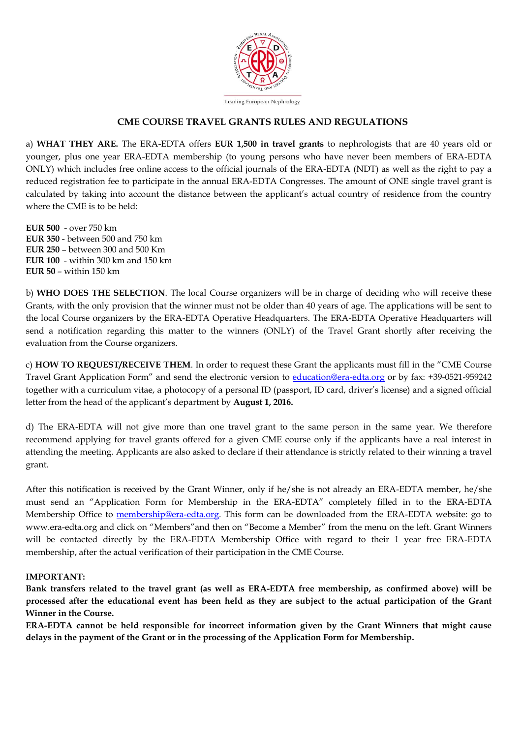

## **CME COURSE TRAVEL GRANTS RULES AND REGULATIONS**

a) **WHAT THEY ARE.** The ERA-EDTA offers **EUR 1,500 in travel grants** to nephrologists that are 40 years old or younger, plus one year ERA-EDTA membership (to young persons who have never been members of ERA-EDTA ONLY) which includes free online access to the official journals of the ERA-EDTA (NDT) as well as the right to pay a reduced registration fee to participate in the annual ERA-EDTA Congresses. The amount of ONE single travel grant is calculated by taking into account the distance between the applicant's actual country of residence from the country where the CME is to be held:

**EUR 500** - over 750 km **EUR 350** - between 500 and 750 km **EUR 250** – between 300 and 500 Km **EUR 100** - within 300 km and 150 km **EUR 50** – within 150 km

b) **WHO DOES THE SELECTION**. The local Course organizers will be in charge of deciding who will receive these Grants, with the only provision that the winner must not be older than 40 years of age. The applications will be sent to the local Course organizers by the ERA-EDTA Operative Headquarters. The ERA-EDTA Operative Headquarters will send a notification regarding this matter to the winners (ONLY) of the Travel Grant shortly after receiving the evaluation from the Course organizers.

c) **HOW TO REQUEST/RECEIVE THEM**. In order to request these Grant the applicants must fill in the "CME Course Travel Grant Application Form" and send the electronic version to *education@era-edta.org* or by fax: +39-0521-959242 together with a curriculum vitae, a photocopy of a personal ID (passport, ID card, driver's license) and a signed official letter from the head of the applicant's department by **August 1, 2016.** 

d) The ERA-EDTA will not give more than one travel grant to the same person in the same year. We therefore recommend applying for travel grants offered for a given CME course only if the applicants have a real interest in attending the meeting. Applicants are also asked to declare if their attendance is strictly related to their winning a travel grant.

After this notification is received by the Grant Winner, only if he/she is not already an ERA-EDTA member, he/she must send an "Application Form for Membership in the ERA-EDTA" completely filled in to the ERA-EDTA Membership Office to [membership@era-edta.org.](mailto:membership@era-edta.org) This form can be downloaded from the ERA-EDTA website: go to www.era-edta.org and click on "Members"and then on "Become a Member" from the menu on the left. Grant Winners will be contacted directly by the ERA-EDTA Membership Office with regard to their 1 year free ERA-EDTA membership, after the actual verification of their participation in the CME Course.

## **IMPORTANT:**

**Bank transfers related to the travel grant (as well as ERA-EDTA free membership, as confirmed above) will be processed after the educational event has been held as they are subject to the actual participation of the Grant Winner in the Course.** 

**ERA-EDTA cannot be held responsible for incorrect information given by the Grant Winners that might cause delays in the payment of the Grant or in the processing of the Application Form for Membership.**